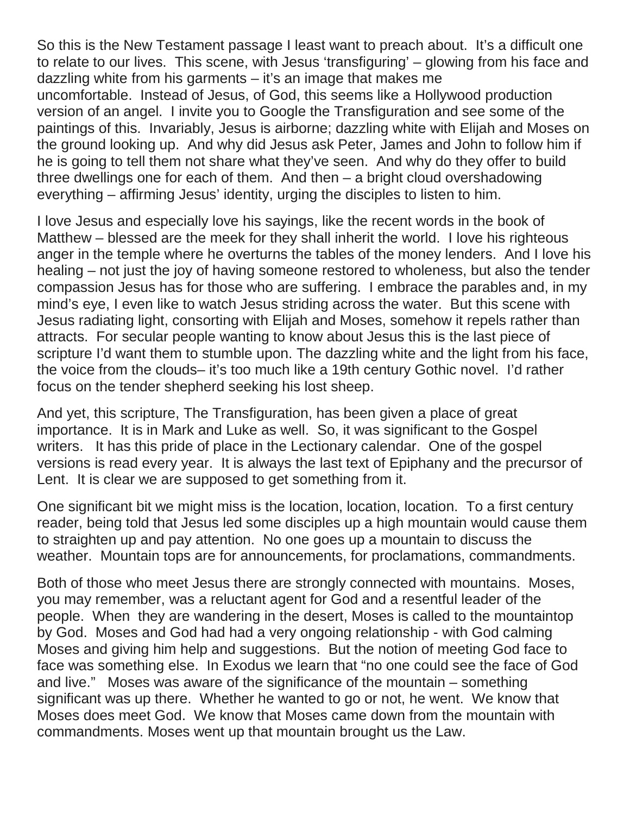So this is the New Testament passage I least want to preach about. It's a difficult one to relate to our lives. This scene, with Jesus 'transfiguring' – glowing from his face and dazzling white from his garments – it's an image that makes me uncomfortable. Instead of Jesus, of God, this seems like a Hollywood production version of an angel. I invite you to Google the Transfiguration and see some of the paintings of this. Invariably, Jesus is airborne; dazzling white with Elijah and Moses on the ground looking up. And why did Jesus ask Peter, James and John to follow him if he is going to tell them not share what they've seen. And why do they offer to build three dwellings one for each of them. And then – a bright cloud overshadowing everything – affirming Jesus' identity, urging the disciples to listen to him.

I love Jesus and especially love his sayings, like the recent words in the book of Matthew – blessed are the meek for they shall inherit the world. I love his righteous anger in the temple where he overturns the tables of the money lenders. And I love his healing – not just the joy of having someone restored to wholeness, but also the tender compassion Jesus has for those who are suffering. I embrace the parables and, in my mind's eye, I even like to watch Jesus striding across the water. But this scene with Jesus radiating light, consorting with Elijah and Moses, somehow it repels rather than attracts. For secular people wanting to know about Jesus this is the last piece of scripture I'd want them to stumble upon. The dazzling white and the light from his face, the voice from the clouds– it's too much like a 19th century Gothic novel. I'd rather focus on the tender shepherd seeking his lost sheep.

And yet, this scripture, The Transfiguration, has been given a place of great importance. It is in Mark and Luke as well. So, it was significant to the Gospel writers. It has this pride of place in the Lectionary calendar. One of the gospel versions is read every year. It is always the last text of Epiphany and the precursor of Lent. It is clear we are supposed to get something from it.

One significant bit we might miss is the location, location, location. To a first century reader, being told that Jesus led some disciples up a high mountain would cause them to straighten up and pay attention. No one goes up a mountain to discuss the weather. Mountain tops are for announcements, for proclamations, commandments.

Both of those who meet Jesus there are strongly connected with mountains. Moses, you may remember, was a reluctant agent for God and a resentful leader of the people. When they are wandering in the desert, Moses is called to the mountaintop by God. Moses and God had had a very ongoing relationship - with God calming Moses and giving him help and suggestions. But the notion of meeting God face to face was something else. In Exodus we learn that "no one could see the face of God and live." Moses was aware of the significance of the mountain – something significant was up there. Whether he wanted to go or not, he went. We know that Moses does meet God. We know that Moses came down from the mountain with commandments. Moses went up that mountain brought us the Law.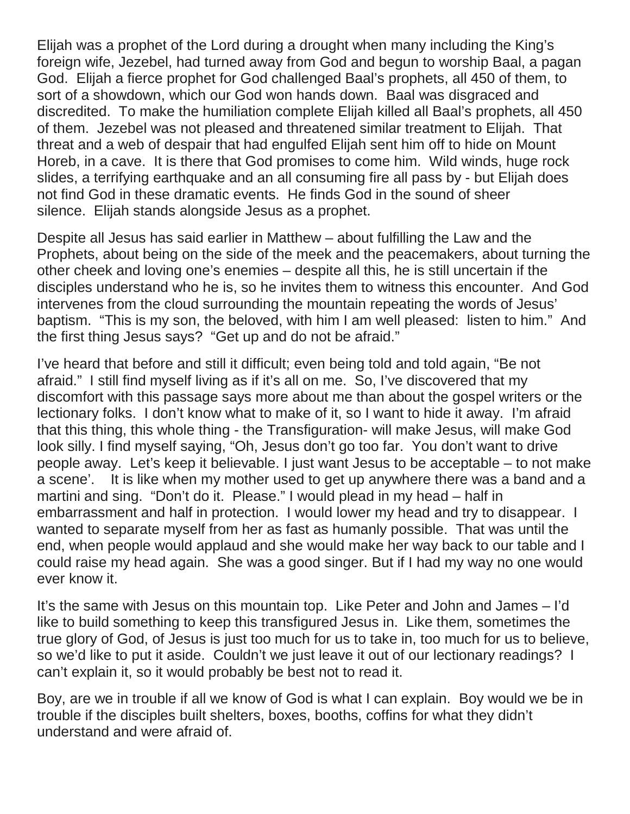Elijah was a prophet of the Lord during a drought when many including the King's foreign wife, Jezebel, had turned away from God and begun to worship Baal, a pagan God. Elijah a fierce prophet for God challenged Baal's prophets, all 450 of them, to sort of a showdown, which our God won hands down. Baal was disgraced and discredited. To make the humiliation complete Elijah killed all Baal's prophets, all 450 of them. Jezebel was not pleased and threatened similar treatment to Elijah. That threat and a web of despair that had engulfed Elijah sent him off to hide on Mount Horeb, in a cave. It is there that God promises to come him. Wild winds, huge rock slides, a terrifying earthquake and an all consuming fire all pass by - but Elijah does not find God in these dramatic events. He finds God in the sound of sheer silence. Elijah stands alongside Jesus as a prophet.

Despite all Jesus has said earlier in Matthew – about fulfilling the Law and the Prophets, about being on the side of the meek and the peacemakers, about turning the other cheek and loving one's enemies – despite all this, he is still uncertain if the disciples understand who he is, so he invites them to witness this encounter. And God intervenes from the cloud surrounding the mountain repeating the words of Jesus' baptism. "This is my son, the beloved, with him I am well pleased: listen to him." And the first thing Jesus says? "Get up and do not be afraid."

I've heard that before and still it difficult; even being told and told again, "Be not afraid." I still find myself living as if it's all on me. So, I've discovered that my discomfort with this passage says more about me than about the gospel writers or the lectionary folks. I don't know what to make of it, so I want to hide it away. I'm afraid that this thing, this whole thing - the Transfiguration- will make Jesus, will make God look silly. I find myself saying, "Oh, Jesus don't go too far. You don't want to drive people away. Let's keep it believable. I just want Jesus to be acceptable – to not make a scene'. It is like when my mother used to get up anywhere there was a band and a martini and sing. "Don't do it. Please." I would plead in my head – half in embarrassment and half in protection. I would lower my head and try to disappear. I wanted to separate myself from her as fast as humanly possible. That was until the end, when people would applaud and she would make her way back to our table and I could raise my head again. She was a good singer. But if I had my way no one would ever know it.

It's the same with Jesus on this mountain top. Like Peter and John and James – I'd like to build something to keep this transfigured Jesus in. Like them, sometimes the true glory of God, of Jesus is just too much for us to take in, too much for us to believe, so we'd like to put it aside. Couldn't we just leave it out of our lectionary readings? I can't explain it, so it would probably be best not to read it.

Boy, are we in trouble if all we know of God is what I can explain. Boy would we be in trouble if the disciples built shelters, boxes, booths, coffins for what they didn't understand and were afraid of.